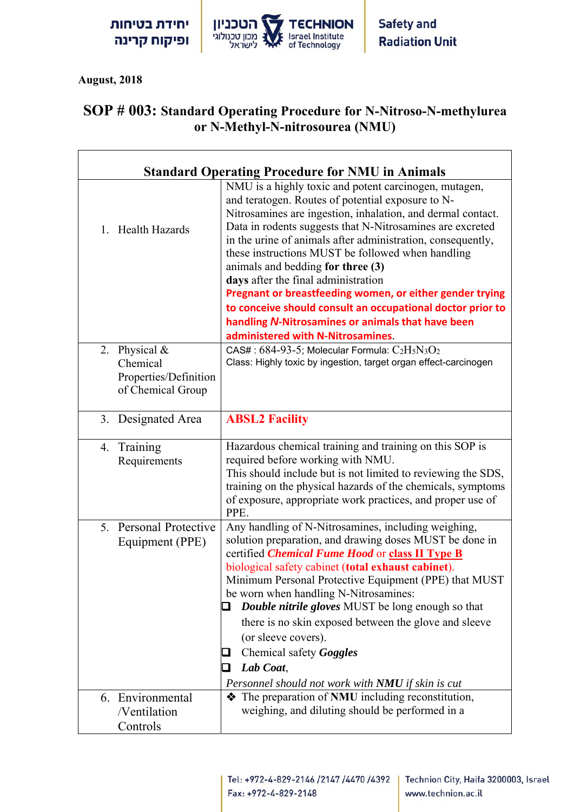יחידת בטיחות ופיקוח קרינה



7

 **August, 2018**

 $\overline{1}$ 

## **SOP # 003: Standard Operating Procedure for N-Nitroso-N-methylurea or N-Methyl-N-nitrosourea (NMU)**

| <b>Standard Operating Procedure for NMU in Animals</b>                  |                                                                                                                                                                                                                                                                                                                                                                                                                                                                                                                                                                                                                                                            |  |
|-------------------------------------------------------------------------|------------------------------------------------------------------------------------------------------------------------------------------------------------------------------------------------------------------------------------------------------------------------------------------------------------------------------------------------------------------------------------------------------------------------------------------------------------------------------------------------------------------------------------------------------------------------------------------------------------------------------------------------------------|--|
| 1. Health Hazards                                                       | NMU is a highly toxic and potent carcinogen, mutagen,<br>and teratogen. Routes of potential exposure to N-<br>Nitrosamines are ingestion, inhalation, and dermal contact.<br>Data in rodents suggests that N-Nitrosamines are excreted<br>in the urine of animals after administration, consequently,<br>these instructions MUST be followed when handling<br>animals and bedding for three (3)<br>days after the final administration<br>Pregnant or breastfeeding women, or either gender trying<br>to conceive should consult an occupational doctor prior to<br>handling N-Nitrosamines or animals that have been<br>administered with N-Nitrosamines. |  |
| 2. Physical &<br>Chemical<br>Properties/Definition<br>of Chemical Group | CAS#: $684-93-5$ ; Molecular Formula: $C_2H_5N_3O_2$<br>Class: Highly toxic by ingestion, target organ effect-carcinogen                                                                                                                                                                                                                                                                                                                                                                                                                                                                                                                                   |  |
| Designated Area<br>3.                                                   | <b>ABSL2 Facility</b>                                                                                                                                                                                                                                                                                                                                                                                                                                                                                                                                                                                                                                      |  |
| Training<br>4.<br>Requirements                                          | Hazardous chemical training and training on this SOP is<br>required before working with NMU.<br>This should include but is not limited to reviewing the SDS,<br>training on the physical hazards of the chemicals, symptoms<br>of exposure, appropriate work practices, and proper use of<br>PPE.                                                                                                                                                                                                                                                                                                                                                          |  |
| 5. Personal Protective<br>Equipment (PPE)                               | Any handling of N-Nitrosamines, including weighing,<br>solution preparation, and drawing doses MUST be done in<br>certified <i>Chemical Fume Hood</i> or class II Type B<br>biological safety cabinet (total exhaust cabinet).<br>Minimum Personal Protective Equipment (PPE) that MUST<br>be worn when handling N-Nitrosamines:<br><b>Double nitrile gloves</b> MUST be long enough so that<br>$\Box$<br>there is no skin exposed between the glove and sleeve<br>(or sleeve covers).<br>Chemical safety Goggles<br>Lab Coat,<br>Personnel should not work with NMU if skin is cut                                                                        |  |
| 6. Environmental<br>/Ventilation<br>Controls                            | The preparation of NMU including reconstitution,<br>weighing, and diluting should be performed in a                                                                                                                                                                                                                                                                                                                                                                                                                                                                                                                                                        |  |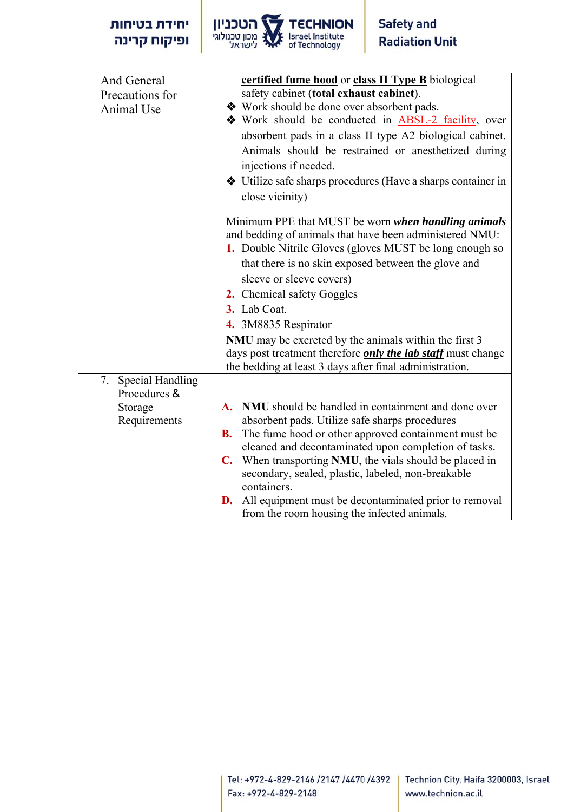

| And General         | certified fume hood or class II Type B biological                   |
|---------------------|---------------------------------------------------------------------|
| Precautions for     | safety cabinet (total exhaust cabinet).                             |
| Animal Use          | ❖ Work should be done over absorbent pads.                          |
|                     | Work should be conducted in <b>ABSL-2</b> facility, over            |
|                     |                                                                     |
|                     | absorbent pads in a class II type A2 biological cabinet.            |
|                     | Animals should be restrained or anesthetized during                 |
|                     | injections if needed.                                               |
|                     | Utilize safe sharps procedures (Have a sharps container in          |
|                     | close vicinity)                                                     |
|                     |                                                                     |
|                     | Minimum PPE that MUST be worn when handling animals                 |
|                     | and bedding of animals that have been administered NMU:             |
|                     | 1. Double Nitrile Gloves (gloves MUST be long enough so             |
|                     | that there is no skin exposed between the glove and                 |
|                     | sleeve or sleeve covers)                                            |
|                     |                                                                     |
|                     | 2. Chemical safety Goggles                                          |
|                     | 3. Lab Coat.                                                        |
|                     | 4. 3M8835 Respirator                                                |
|                     | NMU may be excreted by the animals within the first 3               |
|                     | days post treatment therefore <i>only the lab staff</i> must change |
|                     | the bedding at least 3 days after final administration.             |
| 7. Special Handling |                                                                     |
| Procedures &        |                                                                     |
| Storage             | NMU should be handled in containment and done over<br>А.            |
| Requirements        | absorbent pads. Utilize safe sharps procedures                      |
|                     | The fume hood or other approved containment must be<br>В.           |
|                     | cleaned and decontaminated upon completion of tasks.                |
|                     | <b>C.</b> When transporting NMU, the vials should be placed in      |
|                     | secondary, sealed, plastic, labeled, non-breakable                  |
|                     | containers.                                                         |
|                     | All equipment must be decontaminated prior to removal<br>D.         |
|                     | from the room housing the infected animals.                         |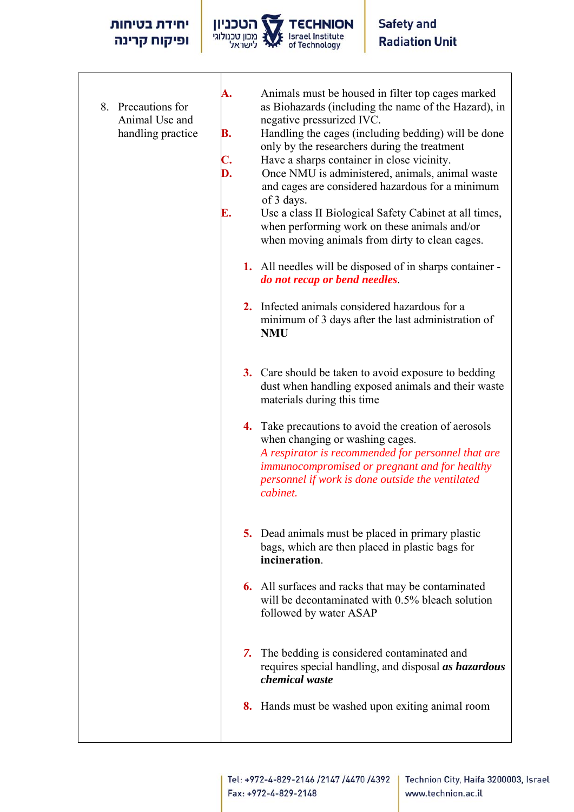## יחידת בטיחות ופיקוח קרינה



- 8. Precautions for Animal Use and handling practice
- **A.** Animals must be housed in filter top cages marked as Biohazards (including the name of the Hazard), in negative pressurized IVC.
- **B.** Handling the cages (including bedding) will be done only by the researchers during the treatment
- **C.** Have a sharps container in close vicinity.
- **D.** Once NMU is administered, animals, animal waste and cages are considered hazardous for a minimum of 3 days.
- **E.** Use a class II Biological Safety Cabinet at all times, when performing work on these animals and/or when moving animals from dirty to clean cages.
	- **1.** All needles will be disposed of in sharps container *do not recap or bend needles*.
	- **2.** Infected animals considered hazardous for a minimum of 3 days after the last administration of **NMU**
	- **3.** Care should be taken to avoid exposure to bedding dust when handling exposed animals and their waste materials during this time
	- **4.** Take precautions to avoid the creation of aerosols when changing or washing cages. *A respirator is recommended for personnel that are immunocompromised or pregnant and for healthy personnel if work is done outside the ventilated cabinet.*
	- **5.** Dead animals must be placed in primary plastic bags, which are then placed in plastic bags for **incineration**.
	- **6.** All surfaces and racks that may be contaminated will be decontaminated with 0.5% bleach solution followed by water ASAP
	- *7.* The bedding is considered contaminated and requires special handling, and disposal *as hazardous chemical waste*
	- **8.** Hands must be washed upon exiting animal room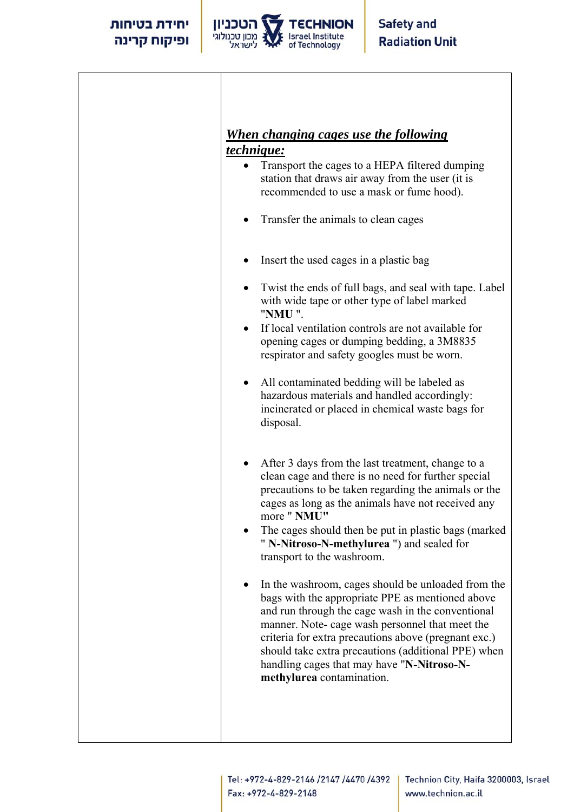

## *When changing cages use the following technique:*

- Transport the cages to a HEPA filtered dumping station that draws air away from the user (it is recommended to use a mask or fume hood).
- Transfer the animals to clean cages
- Insert the used cages in a plastic bag
- Twist the ends of full bags, and seal with tape. Label with wide tape or other type of label marked "**NMU** ".
- If local ventilation controls are not available for opening cages or dumping bedding, a 3M8835 respirator and safety googles must be worn.
- All contaminated bedding will be labeled as hazardous materials and handled accordingly: incinerated or placed in chemical waste bags for disposal.
- After 3 days from the last treatment, change to a clean cage and there is no need for further special precautions to be taken regarding the animals or the cages as long as the animals have not received any more " **NMU"**
- The cages should then be put in plastic bags (marked " **N-Nitroso-N-methylurea** ") and sealed for transport to the washroom.
- In the washroom, cages should be unloaded from the bags with the appropriate PPE as mentioned above and run through the cage wash in the conventional manner. Note- cage wash personnel that meet the criteria for extra precautions above (pregnant exc.) should take extra precautions (additional PPE) when handling cages that may have "**N-Nitroso-Nmethylurea** contamination.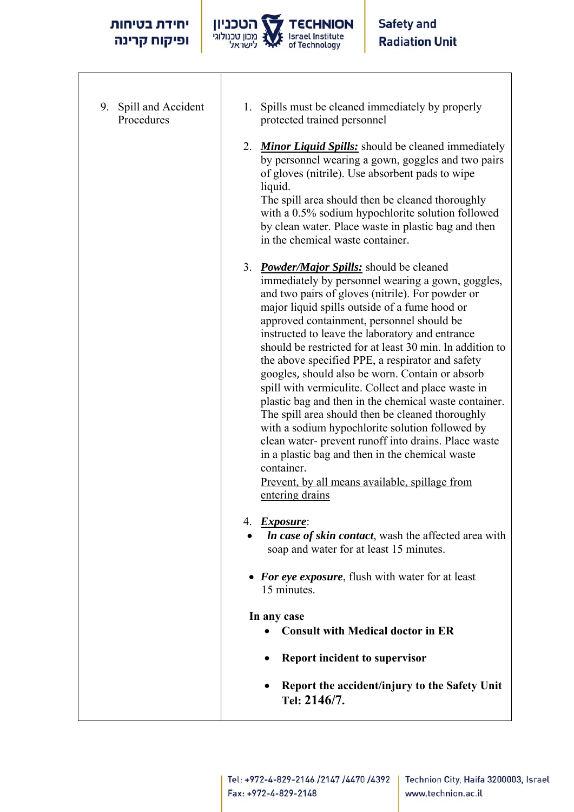$\sqrt{ }$ 



| 9. Spill and Accident<br>Procedures | Spills must be cleaned immediately by properly<br>1.<br>protected trained personnel                                                                                                                                                                                                                                                                                                                                                                                                                                                                                                                                                                                                                                                                                                                                                                                                               |
|-------------------------------------|---------------------------------------------------------------------------------------------------------------------------------------------------------------------------------------------------------------------------------------------------------------------------------------------------------------------------------------------------------------------------------------------------------------------------------------------------------------------------------------------------------------------------------------------------------------------------------------------------------------------------------------------------------------------------------------------------------------------------------------------------------------------------------------------------------------------------------------------------------------------------------------------------|
|                                     | 2. Minor Liquid Spills: should be cleaned immediately<br>by personnel wearing a gown, goggles and two pairs<br>of gloves (nitrile). Use absorbent pads to wipe<br>liquid.<br>The spill area should then be cleaned thoroughly<br>with a 0.5% sodium hypochlorite solution followed<br>by clean water. Place waste in plastic bag and then<br>in the chemical waste container.                                                                                                                                                                                                                                                                                                                                                                                                                                                                                                                     |
|                                     | 3. <i>Powder/Major Spills:</i> should be cleaned<br>immediately by personnel wearing a gown, goggles,<br>and two pairs of gloves (nitrile). For powder or<br>major liquid spills outside of a fume hood or<br>approved containment, personnel should be<br>instructed to leave the laboratory and entrance<br>should be restricted for at least 30 min. In addition to<br>the above specified PPE, a respirator and safety<br>googles, should also be worn. Contain or absorb<br>spill with vermiculite. Collect and place waste in<br>plastic bag and then in the chemical waste container.<br>The spill area should then be cleaned thoroughly<br>with a sodium hypochlorite solution followed by<br>clean water- prevent runoff into drains. Place waste<br>in a plastic bag and then in the chemical waste<br>container.<br>Prevent, by all means available, spillage from<br>entering drains |
|                                     | 4. Exposure:<br><i>In case of skin contact</i> , wash the affected area with<br>soap and water for at least 15 minutes.                                                                                                                                                                                                                                                                                                                                                                                                                                                                                                                                                                                                                                                                                                                                                                           |
|                                     | • For eye exposure, flush with water for at least<br>15 minutes.                                                                                                                                                                                                                                                                                                                                                                                                                                                                                                                                                                                                                                                                                                                                                                                                                                  |
|                                     | In any case<br><b>Consult with Medical doctor in ER</b>                                                                                                                                                                                                                                                                                                                                                                                                                                                                                                                                                                                                                                                                                                                                                                                                                                           |
|                                     | <b>Report incident to supervisor</b>                                                                                                                                                                                                                                                                                                                                                                                                                                                                                                                                                                                                                                                                                                                                                                                                                                                              |
|                                     | Report the accident/injury to the Safety Unit<br>Tel: 2146/7.                                                                                                                                                                                                                                                                                                                                                                                                                                                                                                                                                                                                                                                                                                                                                                                                                                     |